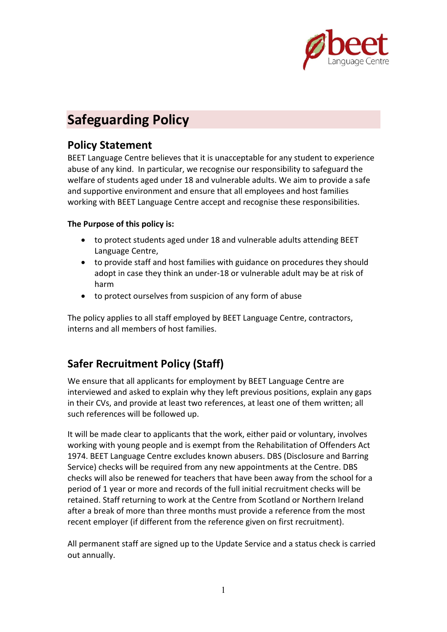

# **Safeguarding Policy**

# **Policy Statement**

BEET Language Centre believes that it is unacceptable for any student to experience abuse of any kind. In particular, we recognise our responsibility to safeguard the welfare of students aged under 18 and vulnerable adults. We aim to provide a safe and supportive environment and ensure that all employees and host families working with BEET Language Centre accept and recognise these responsibilities.

### **The Purpose of this policy is:**

- to protect students aged under 18 and vulnerable adults attending BEET Language Centre,
- to provide staff and host families with guidance on procedures they should adopt in case they think an under‐18 or vulnerable adult may be at risk of harm
- to protect ourselves from suspicion of any form of abuse

The policy applies to all staff employed by BEET Language Centre, contractors, interns and all members of host families.

# **Safer Recruitment Policy (Staff)**

We ensure that all applicants for employment by BEET Language Centre are interviewed and asked to explain why they left previous positions, explain any gaps in their CVs, and provide at least two references, at least one of them written; all such references will be followed up.

It will be made clear to applicants that the work, either paid or voluntary, involves working with young people and is exempt from the Rehabilitation of Offenders Act 1974. BEET Language Centre excludes known abusers. DBS (Disclosure and Barring Service) checks will be required from any new appointments at the Centre. DBS checks will also be renewed for teachers that have been away from the school for a period of 1 year or more and records of the full initial recruitment checks will be retained. Staff returning to work at the Centre from Scotland or Northern Ireland after a break of more than three months must provide a reference from the most recent employer (if different from the reference given on first recruitment).

All permanent staff are signed up to the Update Service and a status check is carried out annually.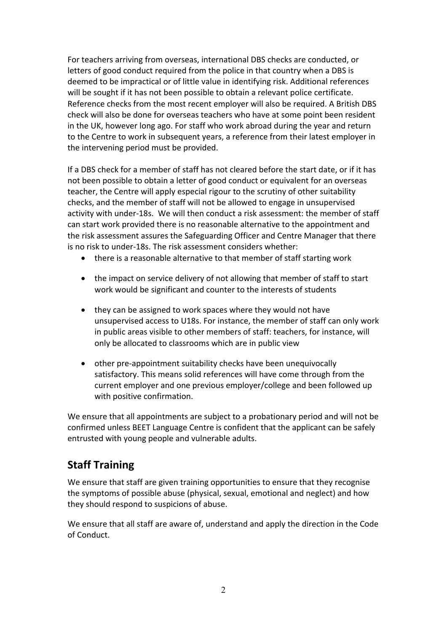For teachers arriving from overseas, international DBS checks are conducted, or letters of good conduct required from the police in that country when a DBS is deemed to be impractical or of little value in identifying risk. Additional references will be sought if it has not been possible to obtain a relevant police certificate. Reference checks from the most recent employer will also be required. A British DBS check will also be done for overseas teachers who have at some point been resident in the UK, however long ago. For staff who work abroad during the year and return to the Centre to work in subsequent years, a reference from their latest employer in the intervening period must be provided.

If a DBS check for a member of staff has not cleared before the start date, or if it has not been possible to obtain a letter of good conduct or equivalent for an overseas teacher, the Centre will apply especial rigour to the scrutiny of other suitability checks, and the member of staff will not be allowed to engage in unsupervised activity with under‐18s. We will then conduct a risk assessment: the member of staff can start work provided there is no reasonable alternative to the appointment and the risk assessment assures the Safeguarding Officer and Centre Manager that there is no risk to under‐18s. The risk assessment considers whether:

- there is a reasonable alternative to that member of staff starting work
- the impact on service delivery of not allowing that member of staff to start work would be significant and counter to the interests of students
- they can be assigned to work spaces where they would not have unsupervised access to U18s. For instance, the member of staff can only work in public areas visible to other members of staff: teachers, for instance, will only be allocated to classrooms which are in public view
- other pre‐appointment suitability checks have been unequivocally satisfactory. This means solid references will have come through from the current employer and one previous employer/college and been followed up with positive confirmation.

We ensure that all appointments are subject to a probationary period and will not be confirmed unless BEET Language Centre is confident that the applicant can be safely entrusted with young people and vulnerable adults.

# **Staff Training**

We ensure that staff are given training opportunities to ensure that they recognise the symptoms of possible abuse (physical, sexual, emotional and neglect) and how they should respond to suspicions of abuse.

We ensure that all staff are aware of, understand and apply the direction in the Code of Conduct.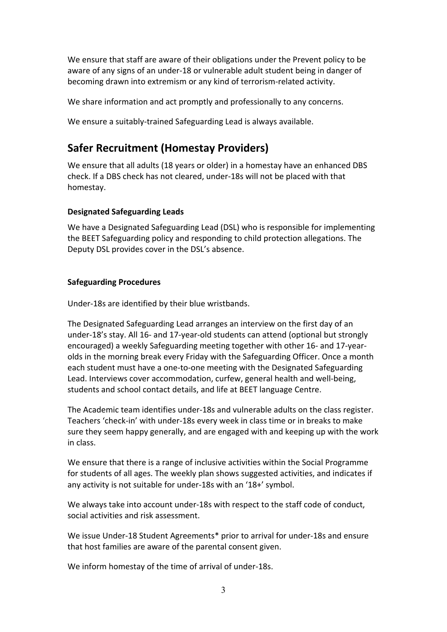We ensure that staff are aware of their obligations under the Prevent policy to be aware of any signs of an under‐18 or vulnerable adult student being in danger of becoming drawn into extremism or any kind of terrorism‐related activity.

We share information and act promptly and professionally to any concerns.

We ensure a suitably-trained Safeguarding Lead is always available.

# **Safer Recruitment (Homestay Providers)**

We ensure that all adults (18 years or older) in a homestay have an enhanced DBS check. If a DBS check has not cleared, under‐18s will not be placed with that homestay.

### **Designated Safeguarding Leads**

We have a Designated Safeguarding Lead (DSL) who is responsible for implementing the BEET Safeguarding policy and responding to child protection allegations. The Deputy DSL provides cover in the DSL's absence.

### **Safeguarding Procedures**

Under‐18s are identified by their blue wristbands.

The Designated Safeguarding Lead arranges an interview on the first day of an under‐18's stay. All 16‐ and 17‐year‐old students can attend (optional but strongly encouraged) a weekly Safeguarding meeting together with other 16‐ and 17‐year‐ olds in the morning break every Friday with the Safeguarding Officer. Once a month each student must have a one-to-one meeting with the Designated Safeguarding Lead. Interviews cover accommodation, curfew, general health and well‐being, students and school contact details, and life at BEET language Centre.

The Academic team identifies under‐18s and vulnerable adults on the class register. Teachers 'check‐in' with under‐18s every week in class time or in breaks to make sure they seem happy generally, and are engaged with and keeping up with the work in class.

We ensure that there is a range of inclusive activities within the Social Programme for students of all ages. The weekly plan shows suggested activities, and indicates if any activity is not suitable for under‐18s with an '18+' symbol.

We always take into account under-18s with respect to the staff code of conduct, social activities and risk assessment.

We issue Under‐18 Student Agreements\* prior to arrival for under‐18s and ensure that host families are aware of the parental consent given.

We inform homestay of the time of arrival of under‐18s.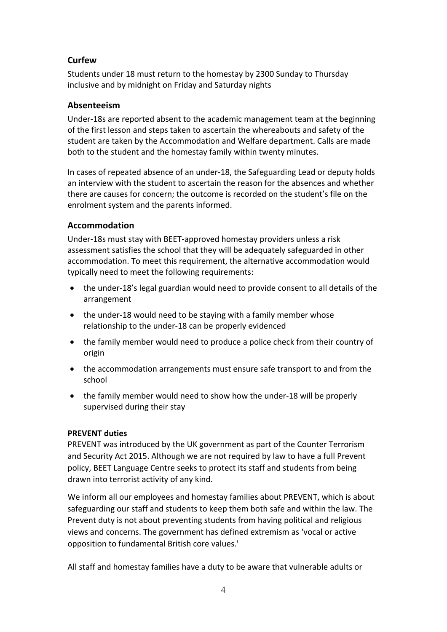# **Curfew**

Students under 18 must return to the homestay by 2300 Sunday to Thursday inclusive and by midnight on Friday and Saturday nights

### **Absenteeism**

Under‐18s are reported absent to the academic management team at the beginning of the first lesson and steps taken to ascertain the whereabouts and safety of the student are taken by the Accommodation and Welfare department. Calls are made both to the student and the homestay family within twenty minutes.

In cases of repeated absence of an under‐18, the Safeguarding Lead or deputy holds an interview with the student to ascertain the reason for the absences and whether there are causes for concern; the outcome is recorded on the student's file on the enrolment system and the parents informed.

### **Accommodation**

Under‐18s must stay with BEET‐approved homestay providers unless a risk assessment satisfies the school that they will be adequately safeguarded in other accommodation. To meet this requirement, the alternative accommodation would typically need to meet the following requirements:

- the under‐18's legal guardian would need to provide consent to all details of the arrangement
- the under-18 would need to be staying with a family member whose relationship to the under‐18 can be properly evidenced
- the family member would need to produce a police check from their country of origin
- the accommodation arrangements must ensure safe transport to and from the school
- the family member would need to show how the under-18 will be properly supervised during their stay

### **PREVENT duties**

PREVENT was introduced by the UK government as part of the Counter Terrorism and Security Act 2015. Although we are not required by law to have a full Prevent policy, BEET Language Centre seeks to protect its staff and students from being drawn into terrorist activity of any kind.

We inform all our employees and homestay families about PREVENT, which is about safeguarding our staff and students to keep them both safe and within the law. The Prevent duty is not about preventing students from having political and religious views and concerns. The government has defined extremism as 'vocal or active opposition to fundamental British core values.'

All staff and homestay families have a duty to be aware that vulnerable adults or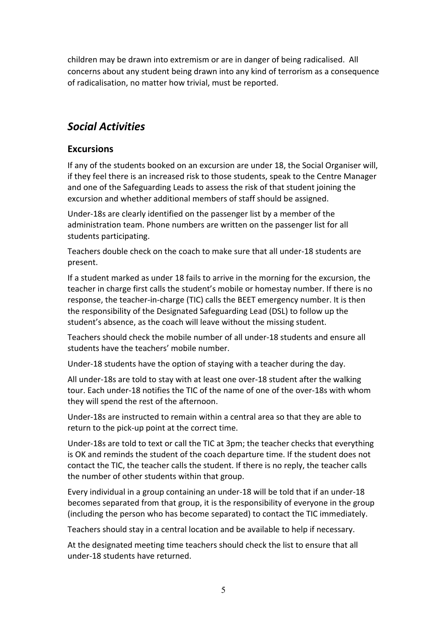children may be drawn into extremism or are in danger of being radicalised. All concerns about any student being drawn into any kind of terrorism as a consequence of radicalisation, no matter how trivial, must be reported.

# *Social Activities*

## **Excursions**

If any of the students booked on an excursion are under 18, the Social Organiser will, if they feel there is an increased risk to those students, speak to the Centre Manager and one of the Safeguarding Leads to assess the risk of that student joining the excursion and whether additional members of staff should be assigned.

Under‐18s are clearly identified on the passenger list by a member of the administration team. Phone numbers are written on the passenger list for all students participating.

Teachers double check on the coach to make sure that all under‐18 students are present.

If a student marked as under 18 fails to arrive in the morning for the excursion, the teacher in charge first calls the student's mobile or homestay number. If there is no response, the teacher‐in‐charge (TIC) calls the BEET emergency number. It is then the responsibility of the Designated Safeguarding Lead (DSL) to follow up the student's absence, as the coach will leave without the missing student.

Teachers should check the mobile number of all under‐18 students and ensure all students have the teachers' mobile number.

Under‐18 students have the option of staying with a teacher during the day.

All under‐18s are told to stay with at least one over‐18 student after the walking tour. Each under‐18 notifies the TIC of the name of one of the over‐18s with whom they will spend the rest of the afternoon.

Under‐18s are instructed to remain within a central area so that they are able to return to the pick‐up point at the correct time.

Under‐18s are told to text or call the TIC at 3pm; the teacher checks that everything is OK and reminds the student of the coach departure time. If the student does not contact the TIC, the teacher calls the student. If there is no reply, the teacher calls the number of other students within that group.

Every individual in a group containing an under‐18 will be told that if an under‐18 becomes separated from that group, it is the responsibility of everyone in the group (including the person who has become separated) to contact the TIC immediately.

Teachers should stay in a central location and be available to help if necessary.

At the designated meeting time teachers should check the list to ensure that all under‐18 students have returned.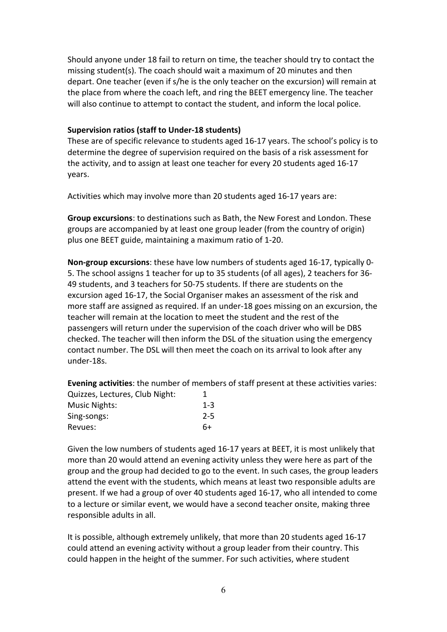Should anyone under 18 fail to return on time, the teacher should try to contact the missing student(s). The coach should wait a maximum of 20 minutes and then depart. One teacher (even if s/he is the only teacher on the excursion) will remain at the place from where the coach left, and ring the BEET emergency line. The teacher will also continue to attempt to contact the student, and inform the local police.

#### **Supervision ratios (staff to Under‐18 students)**

These are of specific relevance to students aged 16‐17 years. The school's policy is to determine the degree of supervision required on the basis of a risk assessment for the activity, and to assign at least one teacher for every 20 students aged 16‐17 years.

Activities which may involve more than 20 students aged 16‐17 years are:

**Group excursions**: to destinations such as Bath, the New Forest and London. These groups are accompanied by at least one group leader (from the country of origin) plus one BEET guide, maintaining a maximum ratio of 1‐20.

**Non‐group excursions**: these have low numbers of students aged 16‐17, typically 0‐ 5. The school assigns 1 teacher for up to 35 students (of all ages), 2 teachers for 36‐ 49 students, and 3 teachers for 50‐75 students. If there are students on the excursion aged 16‐17, the Social Organiser makes an assessment of the risk and more staff are assigned as required. If an under‐18 goes missing on an excursion, the teacher will remain at the location to meet the student and the rest of the passengers will return under the supervision of the coach driver who will be DBS checked. The teacher will then inform the DSL of the situation using the emergency contact number. The DSL will then meet the coach on its arrival to look after any under‐18s.

**Evening activities**: the number of members of staff present at these activities varies: Quizzes, Lectures, Club Night: 1 Music Nights: 1‐3

| <b>IVIUSIC NIRTILS.</b> | -- 1    |
|-------------------------|---------|
| Sing-songs:             | $2 - 5$ |
| Revues:                 | 6+      |

Given the low numbers of students aged 16‐17 years at BEET, it is most unlikely that more than 20 would attend an evening activity unless they were here as part of the group and the group had decided to go to the event. In such cases, the group leaders attend the event with the students, which means at least two responsible adults are present. If we had a group of over 40 students aged 16‐17, who all intended to come to a lecture or similar event, we would have a second teacher onsite, making three responsible adults in all.

It is possible, although extremely unlikely, that more than 20 students aged 16‐17 could attend an evening activity without a group leader from their country. This could happen in the height of the summer. For such activities, where student